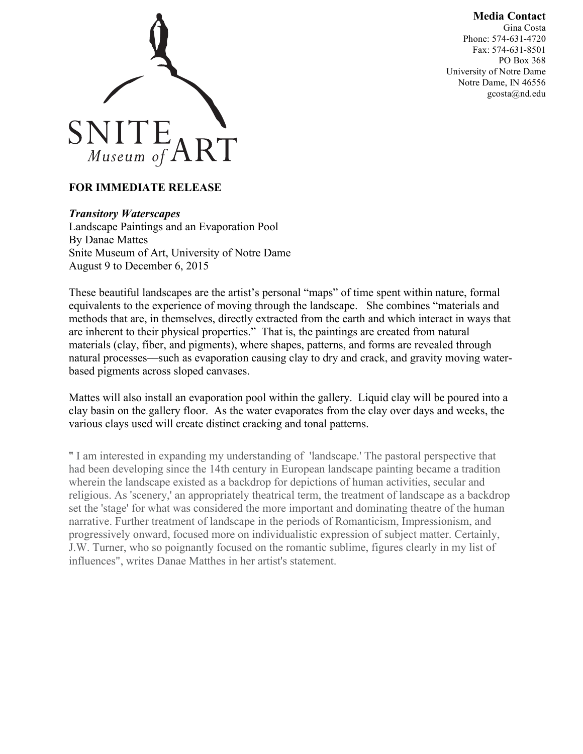## **Media Contact**





## **FOR IMMEDIATE RELEASE**

## *Transitory Waterscapes*

Landscape Paintings and an Evaporation Pool By Danae Mattes Snite Museum of Art, University of Notre Dame August 9 to December 6, 2015

These beautiful landscapes are the artist's personal "maps" of time spent within nature, formal equivalents to the experience of moving through the landscape. She combines "materials and methods that are, in themselves, directly extracted from the earth and which interact in ways that are inherent to their physical properties." That is, the paintings are created from natural materials (clay, fiber, and pigments), where shapes, patterns, and forms are revealed through natural processes––such as evaporation causing clay to dry and crack, and gravity moving waterbased pigments across sloped canvases.

Mattes will also install an evaporation pool within the gallery. Liquid clay will be poured into a clay basin on the gallery floor. As the water evaporates from the clay over days and weeks, the various clays used will create distinct cracking and tonal patterns.

" I am interested in expanding my understanding of 'landscape.' The pastoral perspective that had been developing since the 14th century in European landscape painting became a tradition wherein the landscape existed as a backdrop for depictions of human activities, secular and religious. As 'scenery,' an appropriately theatrical term, the treatment of landscape as a backdrop set the 'stage' for what was considered the more important and dominating theatre of the human narrative. Further treatment of landscape in the periods of Romanticism, Impressionism, and progressively onward, focused more on individualistic expression of subject matter. Certainly, J.W. Turner, who so poignantly focused on the romantic sublime, figures clearly in my list of influences", writes Danae Matthes in her artist's statement.